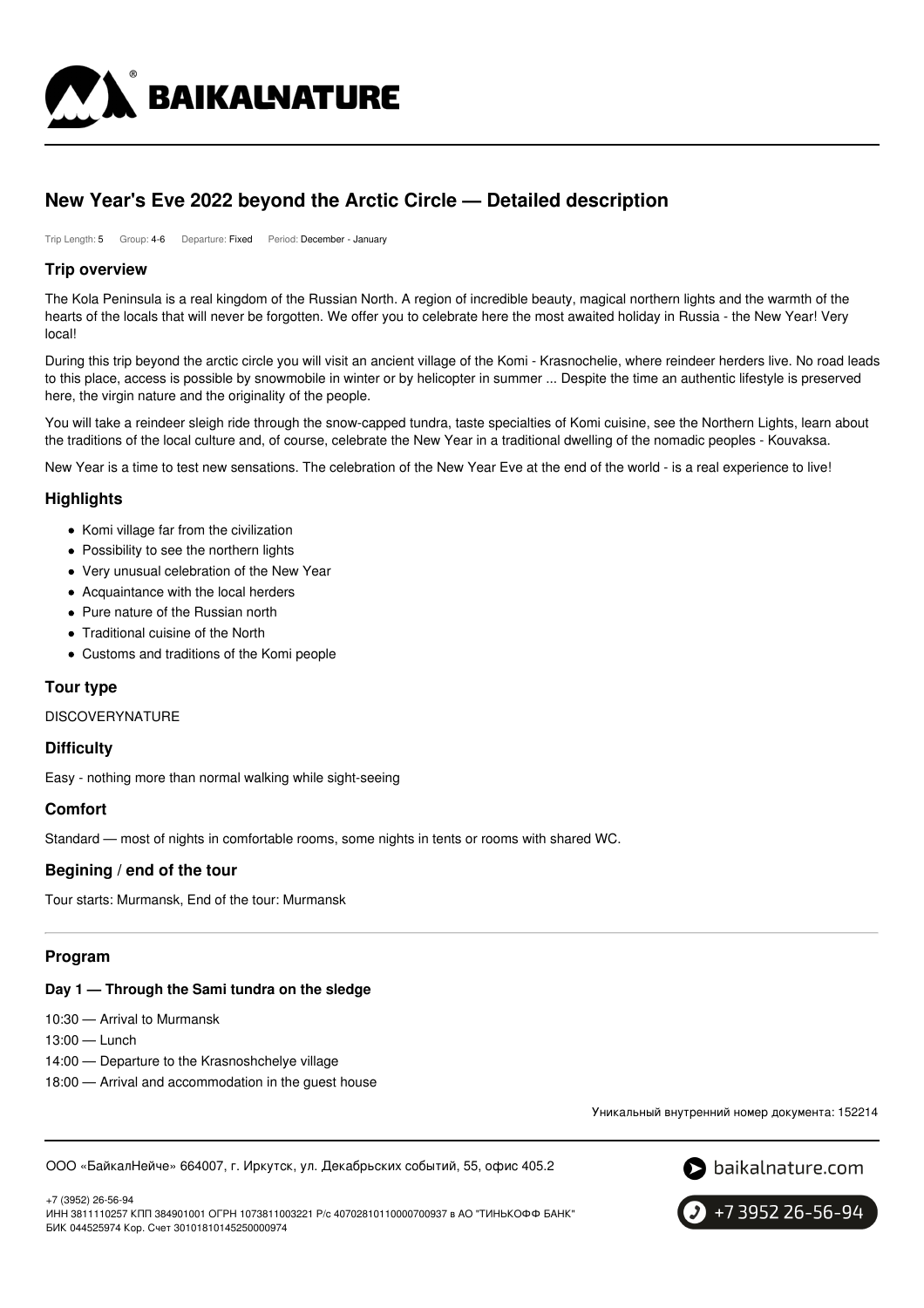

## **New Year's Eve 2022 beyond the Arctic Circle — Detailed description**

Trip Length: 5 Group: 4-6 Departure: Fixed Period: December - January

#### **Trip overview**

The Kola Peninsula is a real kingdom of the Russian North. A region of incredible beauty, magical northern lights and the warmth of the hearts of the locals that will never be forgotten. We offer you to celebrate here the most awaited holiday in Russia - the New Year! Very local!

During this trip beyond the arctic circle you will visit an ancient village of the Komi - Krasnochelie, where reindeer herders live. No road leads to this place, access is possible by snowmobile in winter or by helicopter in summer ... Despite the time an authentic lifestyle is preserved here, the virgin nature and the originality of the people.

You will take a reindeer sleigh ride through the snow-capped tundra, taste specialties of Komi cuisine, see the Northern Lights, learn about the traditions of the local culture and, of course, celebrate the New Year in a traditional dwelling of the nomadic peoples - Kouvaksa.

New Year is a time to test new sensations. The celebration of the New Year Eve at the end of the world - is a real experience to live!

## **Highlights**

- Komi village far from the civilization
- Possibility to see the northern lights
- Very unusual celebration of the New Year
- Acquaintance with the local herders
- Pure nature of the Russian north
- Traditional cuisine of the North
- Customs and traditions of the Komi people

## **Tour type**

DISCOVERYNATURE

## **Difficulty**

Easy - nothing more than normal walking while sight-seeing

## **Comfort**

Standard — most of nights in comfortable rooms, some nights in tents or rooms with shared WC.

#### **Begining / end of the tour**

Tour starts: Murmansk, End of the tour: Murmansk

#### **Program**

#### **Day 1 — Through the Sami tundra on the sledge**

10:30 — Arrival to Murmansk

13:00 — Lunch

+7 (3952) 26-56-94

- 14:00 Departure to the Krasnoshchelye village
- 18:00 Arrival and accommodation in the guest house

Уникальный внутренний номер документа: 152214

ООО «БайкалНейче» 664007, г. Иркутск, ул. Декабрьских событий, 55, офис 405.2





ИНН 3811110257 КПП 384901001 ОГРН 1073811003221 Р/с 40702810110000700937 в АО "ТИНЬКОФФ БАНК" БИК 044525974 Кор. Счет 30101810145250000974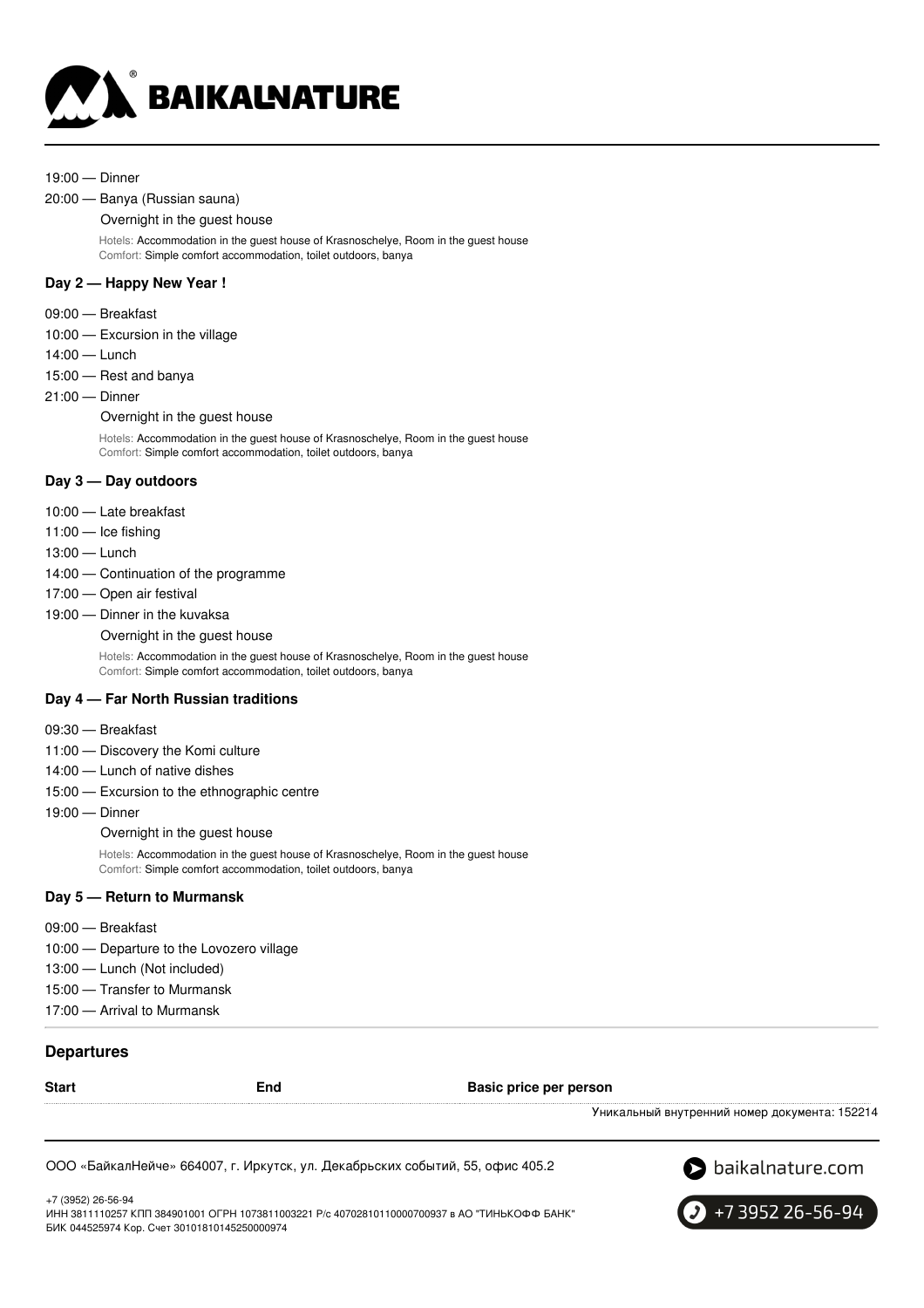

#### 19:00 — Dinner

#### 20:00 — Banya (Russian sauna)

#### Overnight in the guest house

Hotels: Accommodation in the guest house of Krasnoschelye, Room in the guest house Comfort: Simple comfort accommodation, toilet outdoors, banya

#### **Day 2 — Happy New Year !**

- 09:00 Breakfast
- 10:00 Excursion in the village
- 14:00 Lunch
- 15:00 Rest and banya
- 21:00 Dinner

#### Overnight in the guest house

Hotels: Accommodation in the guest house of Krasnoschelye, Room in the guest house Comfort: Simple comfort accommodation, toilet outdoors, banya

#### **Day 3 — Day outdoors**

- 10:00 Late breakfast
- 11:00 Ice fishing
- 13:00 Lunch
- 14:00 Continuation of the programme
- 17:00 Open air festival
- 19:00 Dinner in the kuvaksa

Overnight in the guest house

Hotels: Accommodation in the guest house of Krasnoschelye, Room in the guest house Comfort: Simple comfort accommodation, toilet outdoors, banya

#### **Day 4 — Far North Russian traditions**

- 09:30 Breakfast
- 11:00 Discovery the Komi culture
- 14:00 Lunch of native dishes
- 15:00 Excursion to the ethnographic centre
- 19:00 Dinner

Overnight in the quest house

Hotels: Accommodation in the guest house of Krasnoschelye, Room in the guest house Comfort: Simple comfort accommodation, toilet outdoors, banya

#### **Day 5 — Return to Murmansk**

- 09:00 Breakfast
- 10:00 Departure to the Lovozero village
- 13:00 Lunch (Not included)
- 15:00 Transfer to Murmansk
- 17:00 Arrival to Murmansk

#### **Departures**

| <b>Start</b> | End | Basic price per person                        |
|--------------|-----|-----------------------------------------------|
|              |     | Уникальный внутренний номер документа: 152214 |

ООО «БайкалНейче» 664007, г. Иркутск, ул. Декабрьских событий, 55, офис 405.2



+7 (3952) 26-56-94 ИНН 3811110257 КПП 384901001 ОГРН 1073811003221 Р/с 40702810110000700937 в АО "ТИНЬКОФФ БАНК" БИК 044525974 Кор. Счет 30101810145250000974

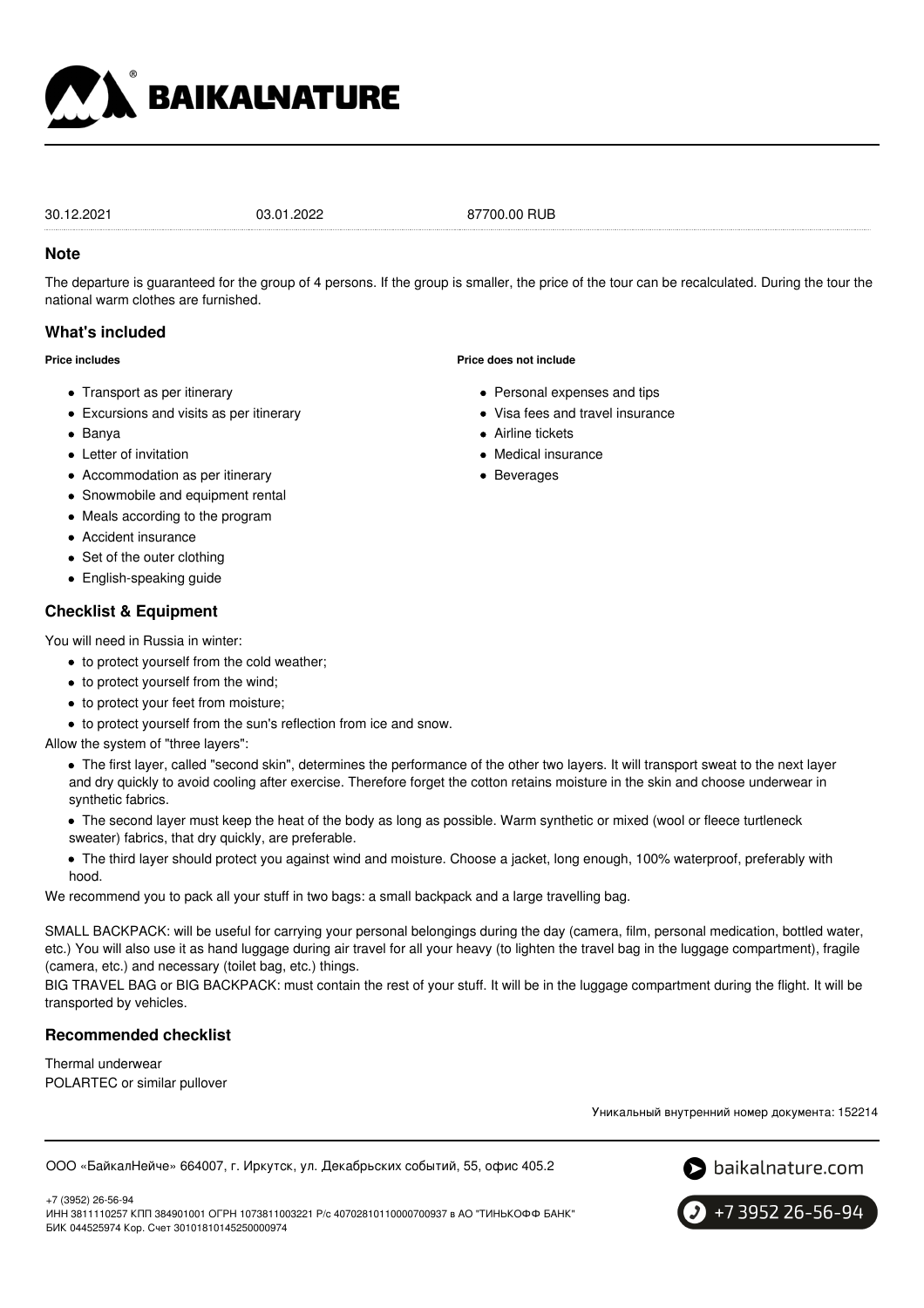

30.12.2021 03.01.2022 87700.00 RUB

#### **Note**

The departure is guaranteed for the group of 4 persons. If the group is smaller, the price of the tour can be recalculated. During the tour the national warm clothes are furnished.

## **What's included**

**Price includes**

- Transport as per itinerary
- Excursions and visits as per itinerary
- Banya
- Letter of invitation
- Accommodation as per itinerary
- Snowmobile and equipment rental
- Meals according to the program
- Accident insurance
- Set of the outer clothing
- English-speaking guide

## **Checklist & Equipment**

You will need in Russia in winter:

- to protect yourself from the cold weather;
- to protect yourself from the wind;
- to protect your feet from moisture;
- to protect yourself from the sun's reflection from ice and snow.

Allow the system of "three layers":

- The first layer, called "second skin", determines the performance of the other two layers. It will transport sweat to the next layer and dry quickly to avoid cooling after exercise. Therefore forget the cotton retains moisture in the skin and choose underwear in synthetic fabrics.
- The second layer must keep the heat of the body as long as possible. Warm synthetic or mixed (wool or fleece turtleneck sweater) fabrics, that dry quickly, are preferable.
- The third layer should protect you against wind and moisture. Choose a jacket, long enough, 100% waterproof, preferably with hood.

We recommend you to pack all your stuff in two bags: a small backpack and a large travelling bag.

SMALL BACKPACK: will be useful for carrying your personal belongings during the day (camera, film, personal medication, bottled water, etc.) You will also use it as hand luggage during air travel for all your heavy (to lighten the travel bag in the luggage compartment), fragile (camera, etc.) and necessary (toilet bag, etc.) things.

BIG TRAVEL BAG or BIG BACKPACK: must contain the rest of your stuff. It will be in the luggage compartment during the flight. It will be transported by vehicles.

## **Recommended checklist**

Thermal underwear POLARTEC or similar pullover

Уникальный внутренний номер документа: 152214

ООО «БайкалНейче» 664007, г. Иркутск, ул. Декабрьских событий, 55, офис 405.2



+7 (3952) 26-56-94 ИНН 3811110257 КПП 384901001 ОГРН 1073811003221 Р/с 40702810110000700937 в АО "ТИНЬКОФФ БАНК" БИК 044525974 Кор. Счет 30101810145250000974

+7 3952 26-56-94

# **Price does not include**

- Personal expenses and tips
- Visa fees and travel insurance
- Airline tickets
- Medical insurance
- Beverages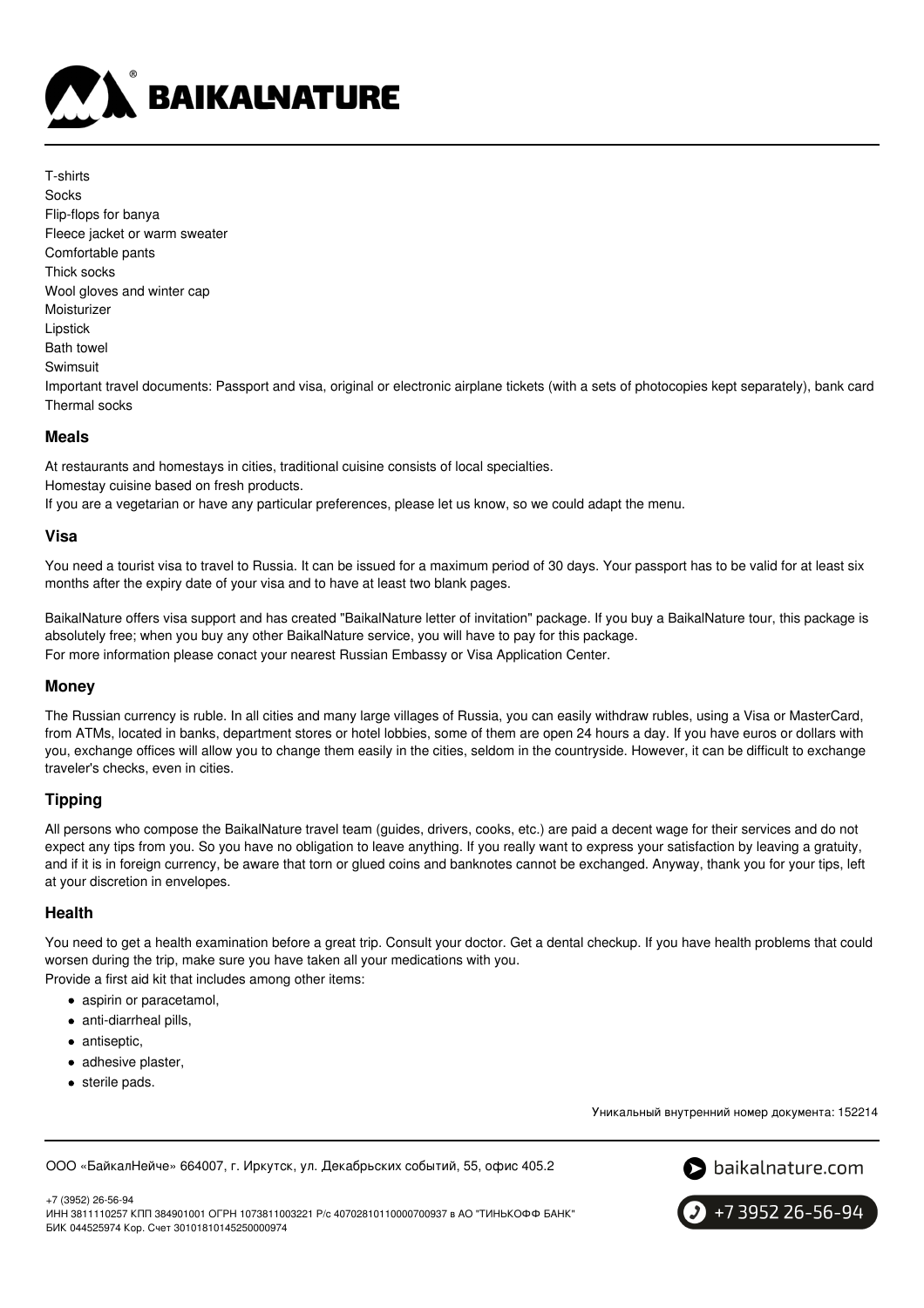

T-shirts **Socks** Flip-flops for banya Fleece jacket or warm sweater Comfortable pants Thick socks Wool gloves and winter cap Moisturizer Lipstick Bath towel Swimsuit Important travel documents: Passport and visa, original or electronic airplane tickets (with a sets of photocopies kept separately), bank card Thermal socks

#### **Meals**

At restaurants and homestays in cities, traditional cuisine consists of local specialties.

Homestay cuisine based on fresh products.

If you are a vegetarian or have any particular preferences, please let us know, so we could adapt the menu.

## **Visa**

You need a tourist visa to travel to Russia. It can be issued for a maximum period of 30 days. Your passport has to be valid for at least six months after the expiry date of your visa and to have at least two blank pages.

BaikalNature offers visa support and has created "BaikalNature letter of invitation" package. If you buy a BaikalNature tour, this package is absolutely free; when you buy any other BaikalNature service, you will have to pay for this package. For more information please conact your nearest Russian Embassy or Visa Application Center.

## **Money**

The Russian currency is ruble. In all cities and many large villages of Russia, you can easily withdraw rubles, using a Visa or MasterCard, from ATMs, located in banks, department stores or hotel lobbies, some of them are open 24 hours a day. If you have euros or dollars with you, exchange offices will allow you to change them easily in the cities, seldom in the countryside. However, it can be difficult to exchange traveler's checks, even in cities.

## **Tipping**

All persons who compose the BaikalNature travel team (guides, drivers, cooks, etc.) are paid a decent wage for their services and do not expect any tips from you. So you have no obligation to leave anything. If you really want to express your satisfaction by leaving a gratuity, and if it is in foreign currency, be aware that torn or glued coins and banknotes cannot be exchanged. Anyway, thank you for your tips, left at your discretion in envelopes.

## **Health**

You need to get a health examination before a great trip. Consult your doctor. Get a dental checkup. If you have health problems that could worsen during the trip, make sure you have taken all your medications with you.

Provide a first aid kit that includes among other items:

- aspirin or paracetamol,
- anti-diarrheal pills.
- antiseptic,
- adhesive plaster,
- sterile pads.

Уникальный внутренний номер документа: 152214

ООО «БайкалНейче» 664007, г. Иркутск, ул. Декабрьских событий, 55, офис 405.2



+7 (3952) 26-56-94 ИНН 3811110257 КПП 384901001 ОГРН 1073811003221 Р/с 40702810110000700937 в АО "ТИНЬКОФФ БАНК" БИК 044525974 Кор. Счет 30101810145250000974